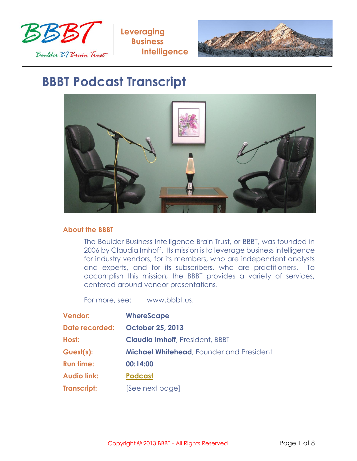



## **BBBT Podcast Transcript**



## **About the BBBT**

The Boulder Business Intelligence Brain Trust, or BBBT, was founded in 2006 by Claudia Imhoff. Its mission is to leverage business intelligence for industry vendors, for its members, who are independent analysts and experts, and for its subscribers, who are practitioners. To accomplish this mission, the BBBT provides a variety of services, centered around vendor presentations.

For more, see: www.bbbt.us.

| <b>Vendor:</b>     | <b>WhereScape</b>                               |
|--------------------|-------------------------------------------------|
| Date recorded:     | <b>October 25, 2013</b>                         |
| Host:              | <b>Claudia Imhoff, President, BBBT</b>          |
| Guest(s):          | <b>Michael Whitehead, Founder and President</b> |
| <b>Run time:</b>   | 00:14:00                                        |
| <b>Audio link:</b> | <b>Podcast</b>                                  |
| <b>Transcript:</b> | [See next page]                                 |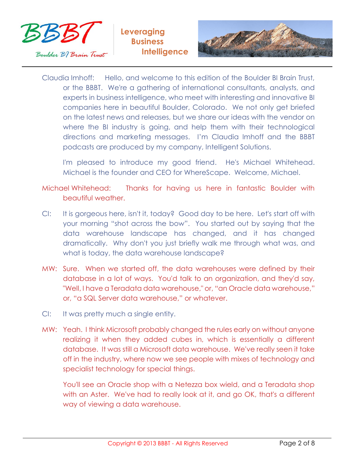



Claudia Imhoff: Hello, and welcome to this edition of the Boulder BI Brain Trust, or the BBBT. We're a gathering of international consultants, analysts, and experts in business intelligence, who meet with interesting and innovative BI companies here in beautiful Boulder, Colorado. We not only get briefed on the latest news and releases, but we share our ideas with the vendor on where the BI industry is going, and help them with their technological directions and marketing messages. I'm Claudia Imhoff and the BBBT podcasts are produced by my company, Intelligent Solutions.

I'm pleased to introduce my good friend. He's Michael Whitehead. Michael is the founder and CEO for WhereScape. Welcome, Michael.

Michael Whitehead: Thanks for having us here in fantastic Boulder with beautiful weather.

- CI: It is gorgeous here, isn't it, today? Good day to be here. Let's start off with your morning "shot across the bow". You started out by saying that the data warehouse landscape has changed, and it has changed dramatically. Why don't you just briefly walk me through what was, and what is today, the data warehouse landscape?
- MW: Sure. When we started off, the data warehouses were defined by their database in a lot of ways. You'd talk to an organization, and they'd say, "Well, I have a Teradata data warehouse," or, "an Oracle data warehouse," or, "a SQL Server data warehouse," or whatever.
- CI: It was pretty much a single entity.
- MW: Yeah. I think Microsoft probably changed the rules early on without anyone realizing it when they added cubes in, which is essentially a different database. It was still a Microsoft data warehouse. We've really seen it take off in the industry, where now we see people with mixes of technology and specialist technology for special things.

You'll see an Oracle shop with a Netezza box wield, and a Teradata shop with an Aster. We've had to really look at it, and go OK, that's a different way of viewing a data warehouse.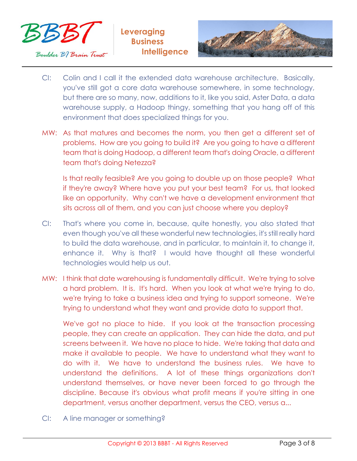



- CI: Colin and I call it the extended data warehouse architecture. Basically, you've still got a core data warehouse somewhere, in some technology, but there are so many, now, additions to it, like you said, Aster Data, a data warehouse supply, a Hadoop thingy, something that you hang off of this environment that does specialized things for you.
- MW: As that matures and becomes the norm, you then get a different set of problems. How are you going to build it? Are you going to have a different team that is doing Hadoop, a different team that's doing Oracle, a different team that's doing Netezza?

Is that really feasible? Are you going to double up on those people? What if they're away? Where have you put your best team? For us, that looked like an opportunity. Why can't we have a development environment that sits across all of them, and you can just choose where you deploy?

- CI: That's where you come in, because, quite honestly, you also stated that even though you've all these wonderful new technologies, it's still really hard to build the data warehouse, and in particular, to maintain it, to change it, enhance it. Why is that? I would have thought all these wonderful technologies would help us out.
- MW: I think that date warehousing is fundamentally difficult. We're trying to solve a hard problem. It is. It's hard. When you look at what we're trying to do, we're trying to take a business idea and trying to support someone. We're trying to understand what they want and provide data to support that.

We've got no place to hide. If you look at the transaction processing people, they can create an application. They can hide the data, and put screens between it. We have no place to hide. We're taking that data and make it available to people. We have to understand what they want to do with it. We have to understand the business rules. We have to understand the definitions. A lot of these things organizations don't understand themselves, or have never been forced to go through the discipline. Because it's obvious what profit means if you're sitting in one department, versus another department, versus the CEO, versus a...

CI: A line manager or something?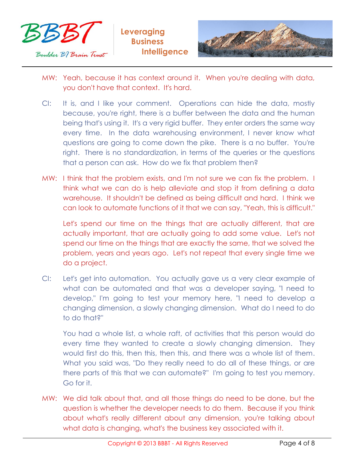



- MW: Yeah, because it has context around it. When you're dealing with data, you don't have that context. It's hard.
- CI: It is, and I like your comment. Operations can hide the data, mostly because, you're right, there is a buffer between the data and the human being that's using it. It's a very rigid buffer. They enter orders the same way every time. In the data warehousing environment, I never know what questions are going to come down the pike. There is a no buffer. You're right. There is no standardization, in terms of the queries or the questions that a person can ask. How do we fix that problem then?
- MW: I think that the problem exists, and I'm not sure we can fix the problem. I think what we can do is help alleviate and stop it from defining a data warehouse. It shouldn't be defined as being difficult and hard. I think we can look to automate functions of it that we can say, "Yeah, this is difficult."

Let's spend our time on the things that are actually different, that are actually important, that are actually going to add some value. Let's not spend our time on the things that are exactly the same, that we solved the problem, years and years ago. Let's not repeat that every single time we do a project.

CI: Let's get into automation. You actually gave us a very clear example of what can be automated and that was a developer saying, "I need to develop," I'm going to test your memory here, "I need to develop a changing dimension, a slowly changing dimension. What do I need to do to do that?"

You had a whole list, a whole raft, of activities that this person would do every time they wanted to create a slowly changing dimension. They would first do this, then this, then this, and there was a whole list of them. What you said was, "Do they really need to do all of these things, or are there parts of this that we can automate?" I'm going to test you memory. Go for it.

MW: We did talk about that, and all those things do need to be done, but the question is whether the developer needs to do them. Because if you think about what's really different about any dimension, you're talking about what data is changing, what's the business key associated with it.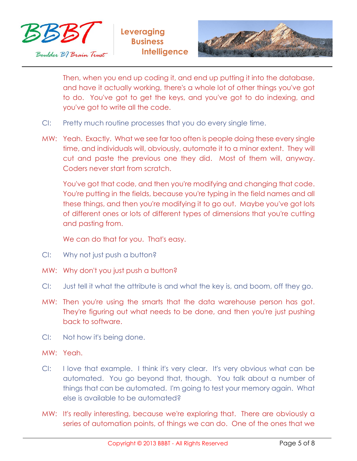



Then, when you end up coding it, and end up putting it into the database, and have it actually working, there's a whole lot of other things you've got to do. You've got to get the keys, and you've got to do indexing, and you've got to write all the code.

- CI: Pretty much routine processes that you do every single time.
- MW: Yeah. Exactly. What we see far too often is people doing these every single time, and individuals will, obviously, automate it to a minor extent. They will cut and paste the previous one they did. Most of them will, anyway. Coders never start from scratch.

You've got that code, and then you're modifying and changing that code. You're putting in the fields, because you're typing in the field names and all these things, and then you're modifying it to go out. Maybe you've got lots of different ones or lots of different types of dimensions that you're cutting and pasting from.

We can do that for you. That's easy.

- CI: Why not just push a button?
- MW: Why don't you just push a button?
- CI: Just tell it what the attribute is and what the key is, and boom, off they go.
- MW: Then you're using the smarts that the data warehouse person has got. They're figuring out what needs to be done, and then you're just pushing back to software.
- CI: Not how it's being done.
- MW: Yeah.
- CI: I love that example. I think it's very clear. It's very obvious what can be automated. You go beyond that, though. You talk about a number of things that can be automated. I'm going to test your memory again. What else is available to be automated?
- MW: It's really interesting, because we're exploring that. There are obviously a series of automation points, of things we can do. One of the ones that we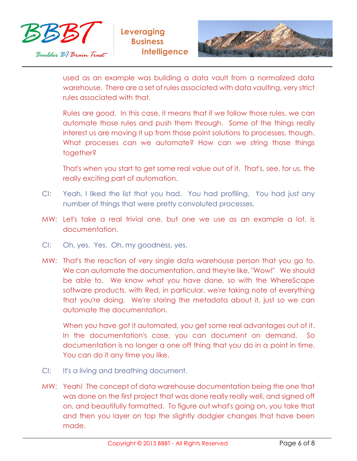



used as an example was building a data vault from a normalized data warehouse. There are a set of rules associated with data vaulting, very strict rules associated with that.

Rules are good. In this case, it means that if we follow those rules, we can automate those rules and push them through. Some of the things really interest us are moving it up from those point solutions to processes, though. What processes can we automate? How can we string those things together?

That's when you start to get some real value out of it. That's, see, for us, the really exciting part of automation.

- CI: Yeah, I liked the list that you had. You had profiling. You had just any number of things that were pretty convoluted processes.
- MW: Let's take a real trivial one, but one we use as an example a lot, is documentation.
- CI: Oh, yes. Yes. Oh, my goodness, yes.
- MW: That's the reaction of very single data warehouse person that you go to. We can automate the documentation, and they're like, "Wow!" We should be able to. We know what you have done, so with the WhereScape software products, with Red, in particular, we're taking note of everything that you're doing. We're storing the metadata about it, just so we can automate the documentation.

When you have got it automated, you get some real advantages out of it. In the documentation's case, you can document on demand. So documentation is no longer a one off thing that you do in a point in time. You can do it any time you like.

- CI: It's a living and breathing document.
- MW: Yeah! The concept of data warehouse documentation being the one that was done on the first project that was done really really well, and signed off on, and beautifully formatted. To figure out what's going on, you take that and then you layer on top the slightly dodgier changes that have been made.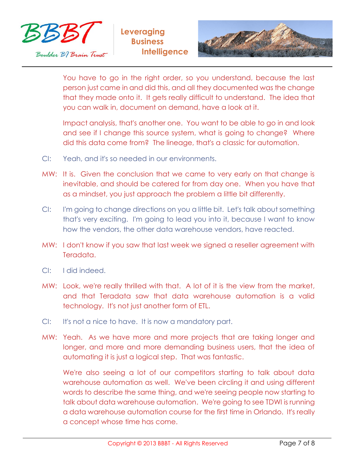



You have to go in the right order, so you understand, because the last person just came in and did this, and all they documented was the change that they made onto it. It gets really difficult to understand. The idea that you can walk in, document on demand, have a look at it.

Impact analysis, that's another one. You want to be able to go in and look and see if I change this source system, what is going to change? Where did this data come from? The lineage, that's a classic for automation.

- CI: Yeah, and it's so needed in our environments.
- MW: It is. Given the conclusion that we came to very early on that change is inevitable, and should be catered for from day one. When you have that as a mindset, you just approach the problem a little bit differently.
- CI: I'm going to change directions on you a little bit. Let's talk about something that's very exciting. I'm going to lead you into it, because I want to know how the vendors, the other data warehouse vendors, have reacted.
- MW: I don't know if you saw that last week we signed a reseller agreement with Teradata.
- CI: I did indeed.
- MW: Look, we're really thrilled with that. A lot of it is the view from the market, and that Teradata saw that data warehouse automation is a valid technology. It's not just another form of ETL.
- CI: It's not a nice to have. It is now a mandatory part.
- MW: Yeah. As we have more and more projects that are taking longer and longer, and more and more demanding business users, that the idea of automating it is just a logical step. That was fantastic.

We're also seeing a lot of our competitors starting to talk about data warehouse automation as well. We've been circling it and using different words to describe the same thing, and we're seeing people now starting to talk about data warehouse automation. We're going to see TDWI is running a data warehouse automation course for the first time in Orlando. It's really a concept whose time has come.